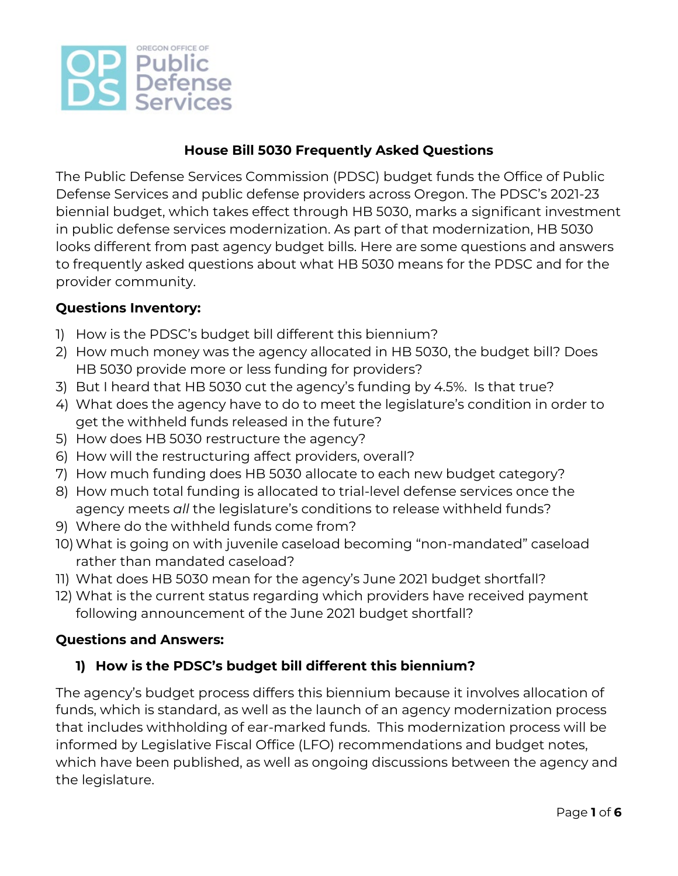

## **House Bill 5030 Frequently Asked Questions**

The Public Defense Services Commission (PDSC) budget funds the Office of Public Defense Services and public defense providers across Oregon. The PDSC's 2021-23 biennial budget, which takes effect through HB 5030, marks a significant investment in public defense services modernization. As part of that modernization, HB 5030 looks different from past agency budget bills. Here are some questions and answers to frequently asked questions about what HB 5030 means for the PDSC and for the provider community.

#### **Questions Inventory:**

- 1) How is the PDSC's budget bill different this biennium?
- 2) How much money was the agency allocated in HB 5030, the budget bill? Does HB 5030 provide more or less funding for providers?
- 3) But I heard that HB 5030 cut the agency's funding by 4.5%. Is that true?
- 4) What does the agency have to do to meet the legislature's condition in order to get the withheld funds released in the future?
- 5) How does HB 5030 restructure the agency?
- 6) How will the restructuring affect providers, overall?
- 7) How much funding does HB 5030 allocate to each new budget category?
- 8) How much total funding is allocated to trial-level defense services once the agency meets *all* the legislature's conditions to release withheld funds?
- 9) Where do the withheld funds come from?
- 10)What is going on with juvenile caseload becoming "non-mandated" caseload rather than mandated caseload?
- 11) What does HB 5030 mean for the agency's June 2021 budget shortfall?
- 12) What is the current status regarding which providers have received payment following announcement of the June 2021 budget shortfall?

#### **Questions and Answers:**

### **1) How is the PDSC's budget bill different this biennium?**

The agency's budget process differs this biennium because it involves allocation of funds, which is standard, as well as the launch of an agency modernization process that includes withholding of ear-marked funds. This modernization process will be informed by Legislative Fiscal Office (LFO) recommendations and budget notes, which have been published, as well as ongoing discussions between the agency and the legislature.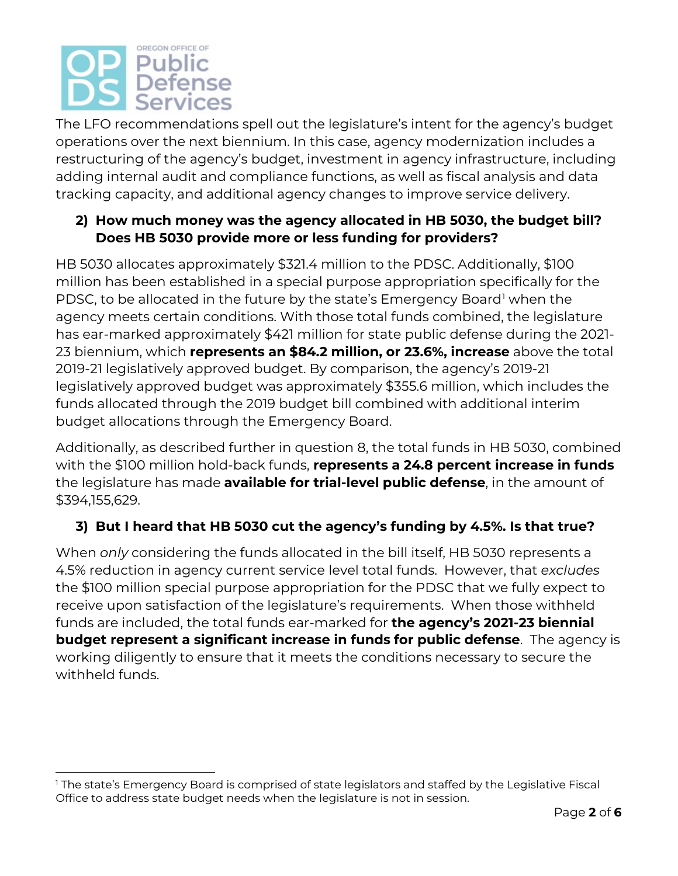# OREGON OFFICE OF **Public** Defense Services

The LFO recommendations spell out the legislature's intent for the agency's budget operations over the next biennium. In this case, agency modernization includes a restructuring of the agency's budget, investment in agency infrastructure, including adding internal audit and compliance functions, as well as fiscal analysis and data tracking capacity, and additional agency changes to improve service delivery.

## **2) How much money was the agency allocated in HB 5030, the budget bill? Does HB 5030 provide more or less funding for providers?**

HB 5030 allocates approximately \$321.4 million to the PDSC. Additionally, \$100 million has been established in a special purpose appropriation specifically for the PDSC, to be allocated in the future by the state's Emergency Board<sup>[1](#page-1-0)</sup> when the agency meets certain conditions. With those total funds combined, the legislature has ear-marked approximately \$421 million for state public defense during the 2021- 23 biennium, which **represents an \$84.2 million, or 23.6%, increase** above the total 2019-21 legislatively approved budget. By comparison, the agency's 2019-21 legislatively approved budget was approximately \$355.6 million, which includes the funds allocated through the 2019 budget bill combined with additional interim budget allocations through the Emergency Board.

Additionally, as described further in question 8, the total funds in HB 5030, combined with the \$100 million hold-back funds, **represents a 24.8 percent increase in funds** the legislature has made **available for trial-level public defense**, in the amount of \$394,155,629.

## **3) But I heard that HB 5030 cut the agency's funding by 4.5%. Is that true?**

When *only* considering the funds allocated in the bill itself, HB 5030 represents a 4.5% reduction in agency current service level total funds. However, that *excludes* the \$100 million special purpose appropriation for the PDSC that we fully expect to receive upon satisfaction of the legislature's requirements. When those withheld funds are included, the total funds ear-marked for **the agency's 2021-23 biennial budget represent a significant increase in funds for public defense**. The agency is working diligently to ensure that it meets the conditions necessary to secure the withheld funds.

<span id="page-1-0"></span><sup>&</sup>lt;sup>1</sup> The state's Emergency Board is comprised of state legislators and staffed by the Legislative Fiscal Office to address state budget needs when the legislature is not in session.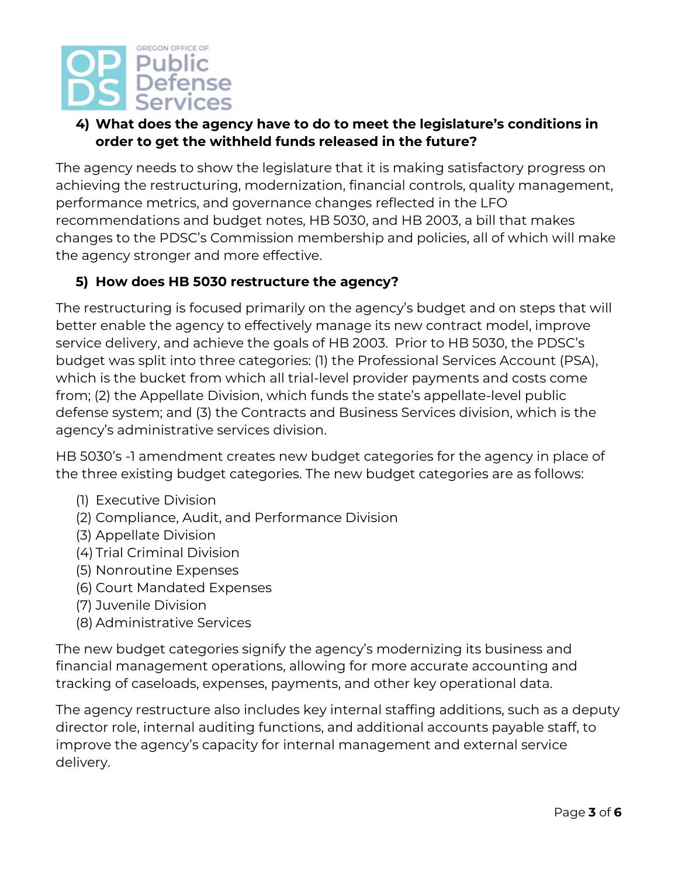## OREGON OFFICE OF Public **Defense Services**

## **4) What does the agency have to do to meet the legislature's conditions in order to get the withheld funds released in the future?**

The agency needs to show the legislature that it is making satisfactory progress on achieving the restructuring, modernization, financial controls, quality management, performance metrics, and governance changes reflected in the LFO recommendations and budget notes, HB 5030, and HB 2003, a bill that makes changes to the PDSC's Commission membership and policies, all of which will make the agency stronger and more effective.

## **5) How does HB 5030 restructure the agency?**

The restructuring is focused primarily on the agency's budget and on steps that will better enable the agency to effectively manage its new contract model, improve service delivery, and achieve the goals of HB 2003. Prior to HB 5030, the PDSC's budget was split into three categories: (1) the Professional Services Account (PSA), which is the bucket from which all trial-level provider payments and costs come from; (2) the Appellate Division, which funds the state's appellate-level public defense system; and (3) the Contracts and Business Services division, which is the agency's administrative services division.

HB 5030's -1 amendment creates new budget categories for the agency in place of the three existing budget categories. The new budget categories are as follows:

- (1) Executive Division
- (2) Compliance, Audit, and Performance Division
- (3) Appellate Division
- (4) Trial Criminal Division
- (5) Nonroutine Expenses
- (6) Court Mandated Expenses
- (7) Juvenile Division
- (8) Administrative Services

The new budget categories signify the agency's modernizing its business and financial management operations, allowing for more accurate accounting and tracking of caseloads, expenses, payments, and other key operational data.

The agency restructure also includes key internal staffing additions, such as a deputy director role, internal auditing functions, and additional accounts payable staff, to improve the agency's capacity for internal management and external service delivery.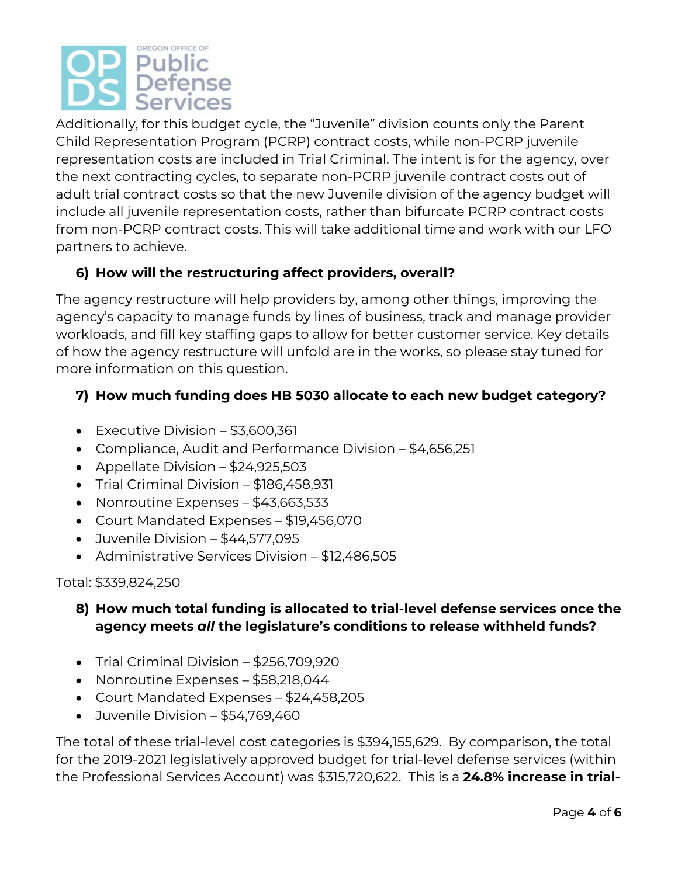# OREGON OFFICE OF Public Defense Services

Additionally, for this budget cycle, the "Juvenile" division counts only the Parent Child Representation Program (PCRP) contract costs, while non-PCRP juvenile representation costs are included in Trial Criminal. The intent is for the agency, over the next contracting cycles, to separate non-PCRP juvenile contract costs out of adult trial contract costs so that the new Juvenile division of the agency budget will include all juvenile representation costs, rather than bifurcate PCRP contract costs from non-PCRP contract costs. This will take additional time and work with our LFO partners to achieve.

## **6) How will the restructuring affect providers, overall?**

The agency restructure will help providers by, among other things, improving the agency's capacity to manage funds by lines of business, track and manage provider workloads, and fill key staffing gaps to allow for better customer service. Key details of how the agency restructure will unfold are in the works, so please stay tuned for more information on this question.

## **7) How much funding does HB 5030 allocate to each new budget category?**

- Executive Division \$3,600,361
- Compliance, Audit and Performance Division \$4,656,251
- Appellate Division \$24,925,503
- Trial Criminal Division \$186,458,931
- Nonroutine Expenses \$43,663,533
- Court Mandated Expenses \$19,456,070
- Juvenile Division \$44,577,095
- Administrative Services Division \$12,486,505

### Total: \$339,824,250

## **8) How much total funding is allocated to trial-level defense services once the agency meets** *all* **the legislature's conditions to release withheld funds?**

- Trial Criminal Division \$256,709,920
- Nonroutine Expenses \$58,218,044
- Court Mandated Expenses \$24,458,205
- Juvenile Division \$54,769,460

The total of these trial-level cost categories is \$394,155,629. By comparison, the total for the 2019-2021 legislatively approved budget for trial-level defense services (within the Professional Services Account) was \$315,720,622. This is a **24.8% increase in trial-**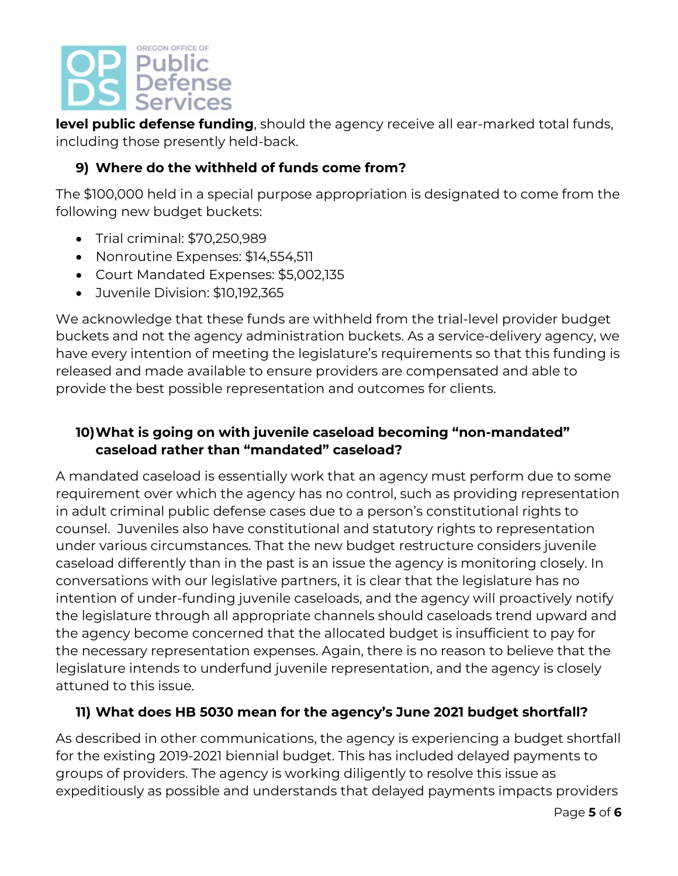

**level public defense funding**, should the agency receive all ear-marked total funds, including those presently held-back.

## **9) Where do the withheld of funds come from?**

The \$100,000 held in a special purpose appropriation is designated to come from the following new budget buckets:

- Trial criminal: \$70,250,989
- Nonroutine Expenses: \$14,554,511
- Court Mandated Expenses: \$5,002,135
- Juvenile Division: \$10,192,365

We acknowledge that these funds are withheld from the trial-level provider budget buckets and not the agency administration buckets. As a service-delivery agency, we have every intention of meeting the legislature's requirements so that this funding is released and made available to ensure providers are compensated and able to provide the best possible representation and outcomes for clients.

## **10)What is going on with juvenile caseload becoming "non-mandated" caseload rather than "mandated" caseload?**

A mandated caseload is essentially work that an agency must perform due to some requirement over which the agency has no control, such as providing representation in adult criminal public defense cases due to a person's constitutional rights to counsel. Juveniles also have constitutional and statutory rights to representation under various circumstances. That the new budget restructure considers juvenile caseload differently than in the past is an issue the agency is monitoring closely. In conversations with our legislative partners, it is clear that the legislature has no intention of under-funding juvenile caseloads, and the agency will proactively notify the legislature through all appropriate channels should caseloads trend upward and the agency become concerned that the allocated budget is insufficient to pay for the necessary representation expenses. Again, there is no reason to believe that the legislature intends to underfund juvenile representation, and the agency is closely attuned to this issue.

### **11) What does HB 5030 mean for the agency's June 2021 budget shortfall?**

As described in other communications, the agency is experiencing a budget shortfall for the existing 2019-2021 biennial budget. This has included delayed payments to groups of providers. The agency is working diligently to resolve this issue as expeditiously as possible and understands that delayed payments impacts providers